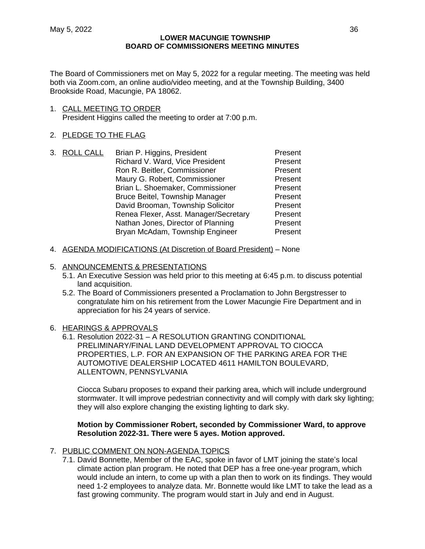The Board of Commissioners met on May 5, 2022 for a regular meeting. The meeting was held both via Zoom.com, an online audio/video meeting, and at the Township Building, 3400 Brookside Road, Macungie, PA 18062.

1. CALL MEETING TO ORDER President Higgins called the meeting to order at 7:00 p.m.

# 2. PLEDGE TO THE FLAG

|  | 3. ROLL CALL | Brian P. Higgins, President           | Present |
|--|--------------|---------------------------------------|---------|
|  |              | Richard V. Ward, Vice President       | Present |
|  |              | Ron R. Beitler, Commissioner          | Present |
|  |              | Maury G. Robert, Commissioner         | Present |
|  |              | Brian L. Shoemaker, Commissioner      | Present |
|  |              | <b>Bruce Beitel, Township Manager</b> | Present |
|  |              | David Brooman, Township Solicitor     | Present |
|  |              | Renea Flexer, Asst. Manager/Secretary | Present |
|  |              | Nathan Jones, Director of Planning    | Present |
|  |              | Bryan McAdam, Township Engineer       | Present |
|  |              |                                       |         |

4. AGENDA MODIFICATIONS (At Discretion of Board President) – None

# 5. ANNOUNCEMENTS & PRESENTATIONS

- 5.1. An Executive Session was held prior to this meeting at 6:45 p.m. to discuss potential land acquisition.
- 5.2. The Board of Commissioners presented a Proclamation to John Bergstresser to congratulate him on his retirement from the Lower Macungie Fire Department and in appreciation for his 24 years of service.
- 6. HEARINGS & APPROVALS
	- 6.1. Resolution 2022-31 A RESOLUTION GRANTING CONDITIONAL PRELIMINARY/FINAL LAND DEVELOPMENT APPROVAL TO CIOCCA PROPERTIES, L.P. FOR AN EXPANSION OF THE PARKING AREA FOR THE AUTOMOTIVE DEALERSHIP LOCATED 4611 HAMILTON BOULEVARD, ALLENTOWN, PENNSYLVANIA

Ciocca Subaru proposes to expand their parking area, which will include underground stormwater. It will improve pedestrian connectivity and will comply with dark sky lighting; they will also explore changing the existing lighting to dark sky.

# **Motion by Commissioner Robert, seconded by Commissioner Ward, to approve Resolution 2022-31. There were 5 ayes. Motion approved.**

- 7. PUBLIC COMMENT ON NON-AGENDA TOPICS
	- 7.1. David Bonnette, Member of the EAC, spoke in favor of LMT joining the state's local climate action plan program. He noted that DEP has a free one-year program, which would include an intern, to come up with a plan then to work on its findings. They would need 1-2 employees to analyze data. Mr. Bonnette would like LMT to take the lead as a fast growing community. The program would start in July and end in August.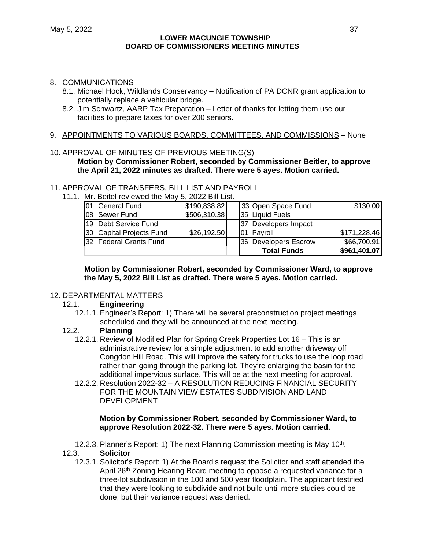### 8. COMMUNICATIONS

- 8.1. Michael Hock, Wildlands Conservancy Notification of PA DCNR grant application to potentially replace a vehicular bridge.
- 8.2. Jim Schwartz, AARP Tax Preparation Letter of thanks for letting them use our facilities to prepare taxes for over 200 seniors.
- 9. APPOINTMENTS TO VARIOUS BOARDS, COMMITTEES, AND COMMISSIONS None

#### 10. APPROVAL OF MINUTES OF PREVIOUS MEETING(S)

**Motion by Commissioner Robert, seconded by Commissioner Beitler, to approve the April 21, 2022 minutes as drafted. There were 5 ayes. Motion carried.**

#### 11. APPROVAL OF TRANSFERS, BILL LIST AND PAYROLL

11.1. Mr. Beitel reviewed the May 5, 2022 Bill List.

| 01 | General Fund             | \$190,838.82 |                    | 33 Open Space Fund      | \$130.00     |
|----|--------------------------|--------------|--------------------|-------------------------|--------------|
| 08 | Sewer Fund               | \$506,310.38 |                    | <b>135 Liquid Fuels</b> |              |
| 19 | Debt Service Fund        |              |                    | 37 Developers Impact    |              |
|    | 30 Capital Projects Fund | \$26,192.50  |                    | 101 Payroll             | \$171,228.46 |
|    | 32 Federal Grants Fund   |              |                    | 36 Developers Escrow    | \$66,700.91  |
|    |                          |              | <b>Total Funds</b> |                         | \$961,401.07 |

# **Motion by Commissioner Robert, seconded by Commissioner Ward, to approve the May 5, 2022 Bill List as drafted. There were 5 ayes. Motion carried.**

## 12. DEPARTMENTAL MATTERS

## 12.1. **Engineering**

12.1.1. Engineer's Report: 1) There will be several preconstruction project meetings scheduled and they will be announced at the next meeting.

## 12.2. **Planning**

- 12.2.1. Review of Modified Plan for Spring Creek Properties Lot 16 This is an administrative review for a simple adjustment to add another driveway off Congdon Hill Road. This will improve the safety for trucks to use the loop road rather than going through the parking lot. They're enlarging the basin for the additional impervious surface. This will be at the next meeting for approval.
- 12.2.2. Resolution 2022-32 A RESOLUTION REDUCING FINANCIAL SECURITY FOR THE MOUNTAIN VIEW ESTATES SUBDIVISION AND LAND DEVELOPMENT

## **Motion by Commissioner Robert, seconded by Commissioner Ward, to approve Resolution 2022-32. There were 5 ayes. Motion carried.**

12.2.3. Planner's Report: 1) The next Planning Commission meeting is May 10<sup>th</sup>.

# 12.3. **Solicitor**

12.3.1. Solicitor's Report: 1) At the Board's request the Solicitor and staff attended the April 26<sup>th</sup> Zoning Hearing Board meeting to oppose a requested variance for a three-lot subdivision in the 100 and 500 year floodplain. The applicant testified that they were looking to subdivide and not build until more studies could be done, but their variance request was denied.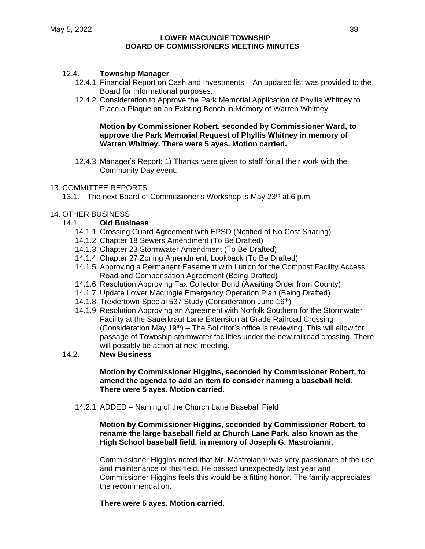# 12.4. **Township Manager**

- 12.4.1. Financial Report on Cash and Investments An updated list was provided to the Board for informational purposes.
- 12.4.2. Consideration to Approve the Park Memorial Application of Phyllis Whitney to Place a Plaque on an Existing Bench in Memory of Warren Whitney.

# **Motion by Commissioner Robert, seconded by Commissioner Ward, to approve the Park Memorial Request of Phyllis Whitney in memory of Warren Whitney. There were 5 ayes. Motion carried.**

12.4.3. Manager's Report: 1) Thanks were given to staff for all their work with the Community Day event.

## 13. COMMITTEE REPORTS

13.1. The next Board of Commissioner's Workshop is May 23<sup>rd</sup> at 6 p.m.

# 14. OTHER BUSINESS

# 14.1. **Old Business**

- 14.1.1. Crossing Guard Agreement with EPSD (Notified of No Cost Sharing)
- 14.1.2. Chapter 18 Sewers Amendment (To Be Drafted)
- 14.1.3. Chapter 23 Stormwater Amendment (To Be Drafted)
- 14.1.4. Chapter 27 Zoning Amendment, Lookback (To Be Drafted)
- 14.1.5. Approving a Permanent Easement with Lutron for the Compost Facility Access Road and Compensation Agreement (Being Drafted)
- 14.1.6. Resolution Approving Tax Collector Bond (Awaiting Order from County)
- 14.1.7. Update Lower Macungie Emergency Operation Plan (Being Drafted)
- 14.1.8. Trexlertown Special 537 Study (Consideration June 16<sup>th</sup>)
- 14.1.9. Resolution Approving an Agreement with Norfolk Southern for the Stormwater Facility at the Sauerkraut Lane Extension at Grade Railroad Crossing (Consideration May 19<sup>th</sup>) – The Solicitor's office is reviewing. This will allow for passage of Township stormwater facilities under the new railroad crossing. There will possibly be action at next meeting.
- 14.2. **New Business**

### **Motion by Commissioner Higgins, seconded by Commissioner Robert, to amend the agenda to add an item to consider naming a baseball field. There were 5 ayes. Motion carried.**

14.2.1. ADDED – Naming of the Church Lane Baseball Field

# **Motion by Commissioner Higgins, seconded by Commissioner Robert, to rename the large baseball field at Church Lane Park, also known as the High School baseball field, in memory of Joseph G. Mastroianni.**

Commissioner Higgins noted that Mr. Mastroianni was very passionate of the use and maintenance of this field. He passed unexpectedly last year and Commissioner Higgins feels this would be a fitting honor. The family appreciates the recommendation.

# **There were 5 ayes. Motion carried.**